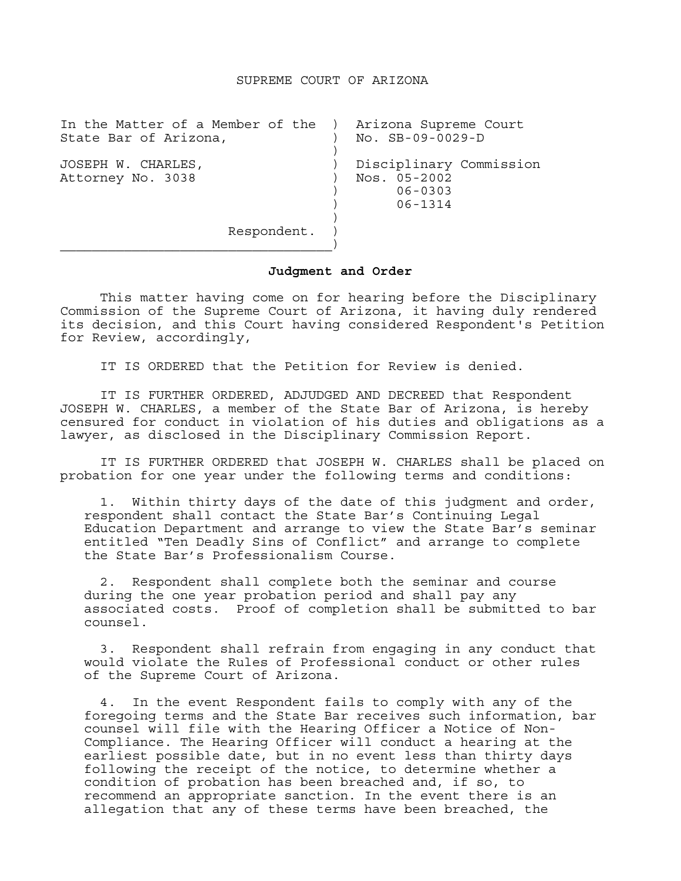## SUPREME COURT OF ARIZONA

| In the Matter of a Member of the ) Arizona Supreme Court |                         |
|----------------------------------------------------------|-------------------------|
| State Bar of Arizona,                                    | No. SB-09-0029-D        |
| JOSEPH W. CHARLES,                                       | Disciplinary Commission |
| Attorney No. 3038                                        | Nos. 05-2002            |
|                                                          | $06 - 0303$             |
|                                                          | $06 - 1314$             |
|                                                          |                         |
| Respondent.                                              |                         |
|                                                          |                         |

## **Judgment and Order**

This matter having come on for hearing before the Disciplinary Commission of the Supreme Court of Arizona, it having duly rendered its decision, and this Court having considered Respondent's Petition for Review, accordingly,

IT IS ORDERED that the Petition for Review is denied.

 IT IS FURTHER ORDERED, ADJUDGED AND DECREED that Respondent JOSEPH W. CHARLES, a member of the State Bar of Arizona, is hereby censured for conduct in violation of his duties and obligations as a lawyer, as disclosed in the Disciplinary Commission Report.

 IT IS FURTHER ORDERED that JOSEPH W. CHARLES shall be placed on probation for one year under the following terms and conditions:

 1. Within thirty days of the date of this judgment and order, respondent shall contact the State Bar's Continuing Legal Education Department and arrange to view the State Bar's seminar entitled "Ten Deadly Sins of Conflict" and arrange to complete the State Bar's Professionalism Course.

 2. Respondent shall complete both the seminar and course during the one year probation period and shall pay any associated costs. Proof of completion shall be submitted to bar counsel.

3. Respondent shall refrain from engaging in any conduct that would violate the Rules of Professional conduct or other rules of the Supreme Court of Arizona.

4. In the event Respondent fails to comply with any of the foregoing terms and the State Bar receives such information, bar counsel will file with the Hearing Officer a Notice of Non-Compliance. The Hearing Officer will conduct a hearing at the earliest possible date, but in no event less than thirty days following the receipt of the notice, to determine whether a condition of probation has been breached and, if so, to recommend an appropriate sanction. In the event there is an allegation that any of these terms have been breached, the